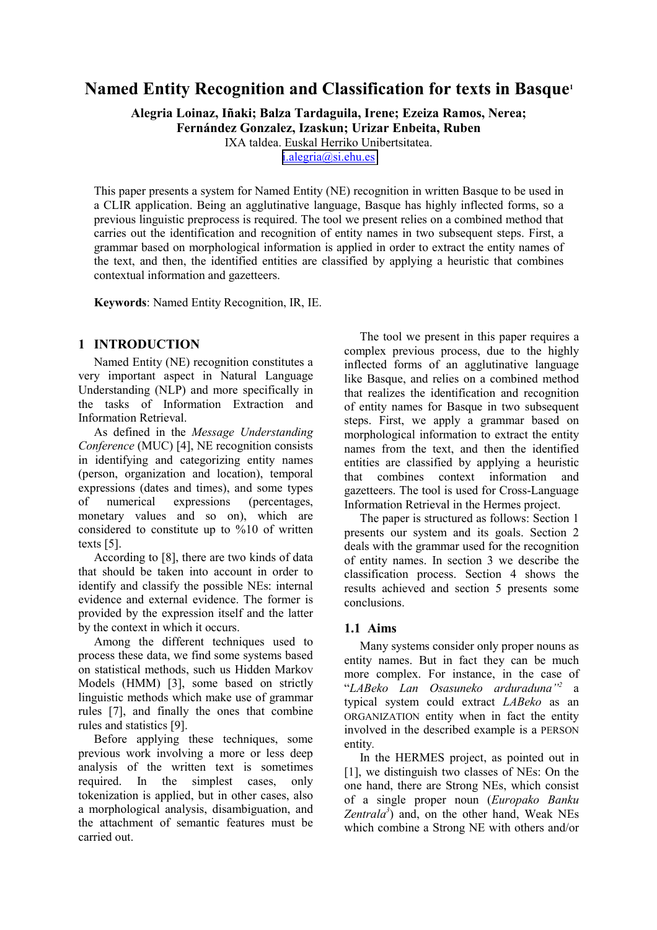# **Named Entity Recognition and Classification for texts in Basque1**

**Alegria Loinaz, Iñaki; Balza Tardaguila, Irene; Ezeiza Ramos, Nerea;** 

**Fernández Gonzalez, Izaskun; Urizar Enbeita, Ruben** 

IXA taldea. Euskal Herriko Unibertsitatea.

[i.alegria@si.ehu.es](mailto:i.alegria@si.ehu.es) 

This paper presents a system for Named Entity (NE) recognition in written Basque to be used in a CLIR application. Being an agglutinative language, Basque has highly inflected forms, so a previous linguistic preprocess is required. The tool we present relies on a combined method that carries out the identification and recognition of entity names in two subsequent steps. First, a grammar based on morphological information is applied in order to extract the entity names of the text, and then, the identified entities are classified by applying a heuristic that combines contextual information and gazetteers.

**Keywords**: Named Entity Recognition, IR, IE.

# **1 INTRODUCTION**

Named Entity (NE) recognition constitutes a very important aspect in Natural Language Understanding (NLP) and more specifically in the tasks of Information Extraction and Information Retrieval.

As defined in the *Message Understanding Conference* (MUC) [4], NE recognition consists in identifying and categorizing entity names (person, organization and location), temporal expressions (dates and times), and some types of numerical expressions (percentages, monetary values and so on), which are considered to constitute up to %10 of written texts [5].

According to [8], there are two kinds of data that should be taken into account in order to identify and classify the possible NEs: internal evidence and external evidence. The former is provided by the expression itself and the latter by the context in which it occurs.

Among the different techniques used to process these data, we find some systems based on statistical methods, such us Hidden Markov Models (HMM) [3], some based on strictly linguistic methods which make use of grammar rules [7], and finally the ones that combine rules and statistics [9].

Before applying these techniques, some previous work involving a more or less deep analysis of the written text is sometimes required. In the simplest cases, only tokenization is applied, but in other cases, also a morphological analysis, disambiguation, and the attachment of semantic features must be carried out.

The tool we present in this paper requires a complex previous process, due to the highly inflected forms of an agglutinative language like Basque, and relies on a combined method that realizes the identification and recognition of entity names for Basque in two subsequent steps. First, we apply a grammar based on morphological information to extract the entity names from the text, and then the identified entities are classified by applying a heuristic that combines context information and gazetteers. The tool is used for Cross-Language Information Retrieval in the Hermes project.

The paper is structured as follows: Section 1 presents our system and its goals. Section 2 deals with the grammar used for the recognition of entity names. In section 3 we describe the classification process. Section 4 shows the results achieved and section 5 presents some conclusions.

# **1.1 Aims**

Many systems consider only proper nouns as entity names. But in fact they can be much more complex. For instance, in the case of "*LABeko Lan Osasuneko arduraduna"2* a typical system could extract *LABeko* as an ORGANIZATION entity when in fact the entity involved in the described example is a PERSON entity*.*

In the HERMES project, as pointed out in [1], we distinguish two classes of NEs: On the one hand, there are Strong NEs, which consist of a single proper noun (*Europako Banku Zentrala3* ) and, on the other hand, Weak NEs which combine a Strong NE with others and/or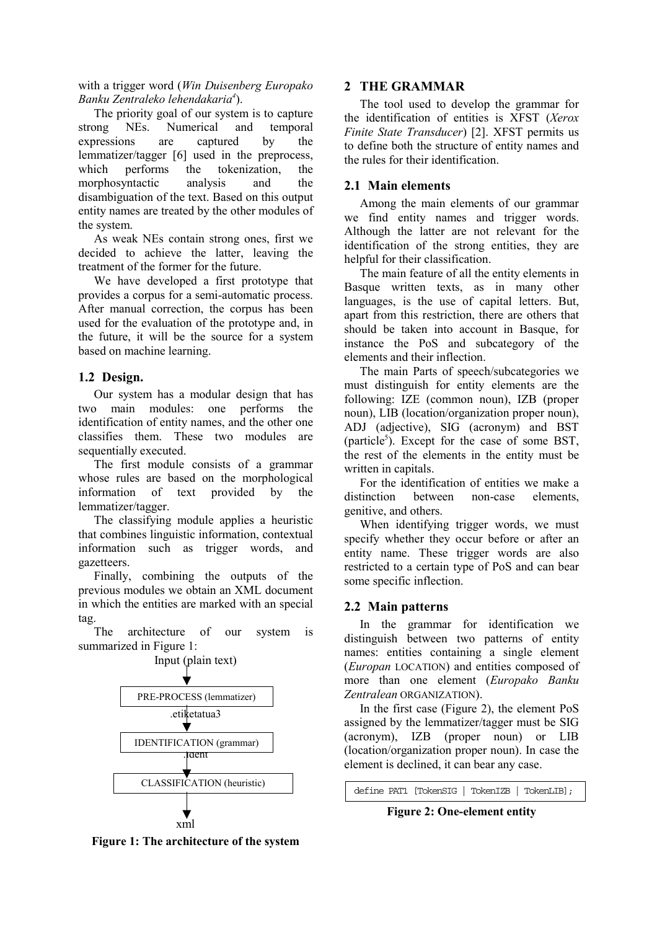with a trigger word (*Win Duisenberg Europako Banku Zentraleko lehendakaria4* ).

The priority goal of our system is to capture strong NEs. Numerical and temporal expressions are captured by the lemmatizer/tagger [6] used in the preprocess, which performs the tokenization, the morphosyntactic analysis and the disambiguation of the text. Based on this output entity names are treated by the other modules of the system.

As weak NEs contain strong ones, first we decided to achieve the latter, leaving the treatment of the former for the future.

We have developed a first prototype that provides a corpus for a semi-automatic process. After manual correction, the corpus has been used for the evaluation of the prototype and, in the future, it will be the source for a system based on machine learning.

# **1.2 Design.**

Our system has a modular design that has two main modules: one performs the identification of entity names, and the other one classifies them. These two modules are sequentially executed.

The first module consists of a grammar whose rules are based on the morphological information of text provided by the lemmatizer/tagger.

The classifying module applies a heuristic that combines linguistic information, contextual information such as trigger words, and gazetteers.

Finally, combining the outputs of the previous modules we obtain an XML document in which the entities are marked with an special tag.

The architecture of our system is summarized in Figure 1:



# **2 THE GRAMMAR**

The tool used to develop the grammar for the identification of entities is XFST (*Xerox Finite State Transducer*) [2]. XFST permits us to define both the structure of entity names and the rules for their identification.

### **2.1 Main elements**

Among the main elements of our grammar we find entity names and trigger words. Although the latter are not relevant for the identification of the strong entities, they are helpful for their classification.

The main feature of all the entity elements in Basque written texts, as in many other languages, is the use of capital letters. But, apart from this restriction, there are others that should be taken into account in Basque, for instance the PoS and subcategory of the elements and their inflection.

The main Parts of speech/subcategories we must distinguish for entity elements are the following: IZE (common noun), IZB (proper noun), LIB (location/organization proper noun), ADJ (adjective), SIG (acronym) and BST  $(particle<sup>5</sup>)$ . Except for the case of some BST, the rest of the elements in the entity must be written in capitals.

For the identification of entities we make a distinction between non-case elements, genitive, and others.

When identifying trigger words, we must specify whether they occur before or after an entity name. These trigger words are also restricted to a certain type of PoS and can bear some specific inflection.

# **2.2 Main patterns**

In the grammar for identification we distinguish between two patterns of entity names: entities containing a single element (*Europan* LOCATION) and entities composed of more than one element (*Europako Banku Zentralean* ORGANIZATION).

In the first case (Figure 2), the element PoS assigned by the lemmatizer/tagger must be SIG (acronym), IZB (proper noun) or LIB (location/organization proper noun). In case the element is declined, it can bear any case.

define PAT1 [TokenSIG | TokenIZB | TokenLIB];

**Figure 2: One-element entity** 

**Figure 1: The architecture of the system**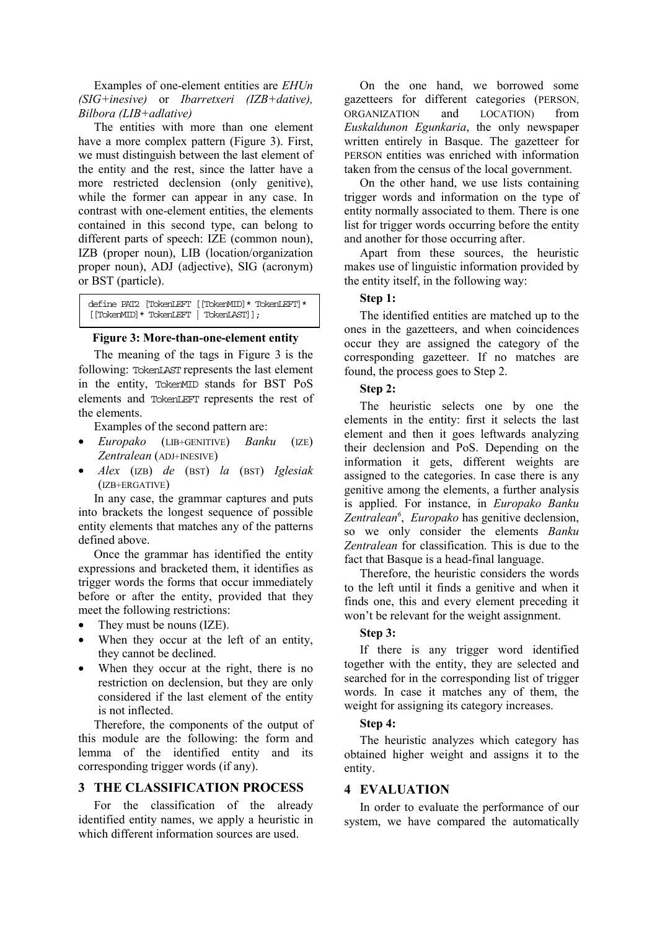Examples of one-element entities are *EHUn (SIG+inesive)* or *Ibarretxeri (IZB+dative), Bilbora (LIB+adlative)* 

The entities with more than one element have a more complex pattern (Figure 3). First, we must distinguish between the last element of the entity and the rest, since the latter have a more restricted declension (only genitive), while the former can appear in any case. In contrast with one-element entities, the elements contained in this second type, can belong to different parts of speech: IZE (common noun), IZB (proper noun), LIB (location/organization proper noun), ADJ (adjective), SIG (acronym) or BST (particle).

define PAT2 [TokenLEFT [[TokenMID]\* TokenLEFT]\* [[TokenMID]\* TokenLEFT | TokenLAST]];

#### **Figure 3: More-than-one-element entity**

The meaning of the tags in Figure 3 is the following: TokenLAST represents the last element in the entity, TokenMID stands for BST PoS elements and TokenLEFT represents the rest of the elements.

Examples of the second pattern are:

- *Europako* (LIB+GENITIVE) *Banku* (IZE) *Zentralean* (ADJ+INESIVE)
- *Alex* (IZB) *de* (BST) *la* (BST) *Iglesiak* (IZB+ERGATIVE)

In any case, the grammar captures and puts into brackets the longest sequence of possible entity elements that matches any of the patterns defined above.

Once the grammar has identified the entity expressions and bracketed them, it identifies as trigger words the forms that occur immediately before or after the entity, provided that they meet the following restrictions:

- They must be nouns (IZE).
- When they occur at the left of an entity, they cannot be declined.
- When they occur at the right, there is no restriction on declension, but they are only considered if the last element of the entity is not inflected.

Therefore, the components of the output of this module are the following: the form and lemma of the identified entity and its corresponding trigger words (if any).

#### **3 THE CLASSIFICATION PROCESS**

For the classification of the already identified entity names, we apply a heuristic in which different information sources are used.

On the one hand, we borrowed some gazetteers for different categories (PERSON, ORGANIZATION and LOCATION) from *Euskaldunon Egunkaria*, the only newspaper written entirely in Basque. The gazetteer for PERSON entities was enriched with information taken from the census of the local government.

On the other hand, we use lists containing trigger words and information on the type of entity normally associated to them. There is one list for trigger words occurring before the entity and another for those occurring after.

Apart from these sources, the heuristic makes use of linguistic information provided by the entity itself, in the following way:

# **Step 1:**

The identified entities are matched up to the ones in the gazetteers, and when coincidences occur they are assigned the category of the corresponding gazetteer. If no matches are found, the process goes to Step 2.

#### **Step 2:**

The heuristic selects one by one the elements in the entity: first it selects the last element and then it goes leftwards analyzing their declension and PoS. Depending on the information it gets, different weights are assigned to the categories. In case there is any genitive among the elements, a further analysis is applied. For instance, in *Europako Banku Zentralean6* , *Europako* has genitive declension, so we only consider the elements *Banku Zentralean* for classification. This is due to the fact that Basque is a head-final language.

Therefore, the heuristic considers the words to the left until it finds a genitive and when it finds one, this and every element preceding it won't be relevant for the weight assignment.

#### **Step 3:**

If there is any trigger word identified together with the entity, they are selected and searched for in the corresponding list of trigger words. In case it matches any of them, the weight for assigning its category increases.

#### **Step 4:**

The heuristic analyzes which category has obtained higher weight and assigns it to the entity.

#### **4 EVALUATION**

In order to evaluate the performance of our system, we have compared the automatically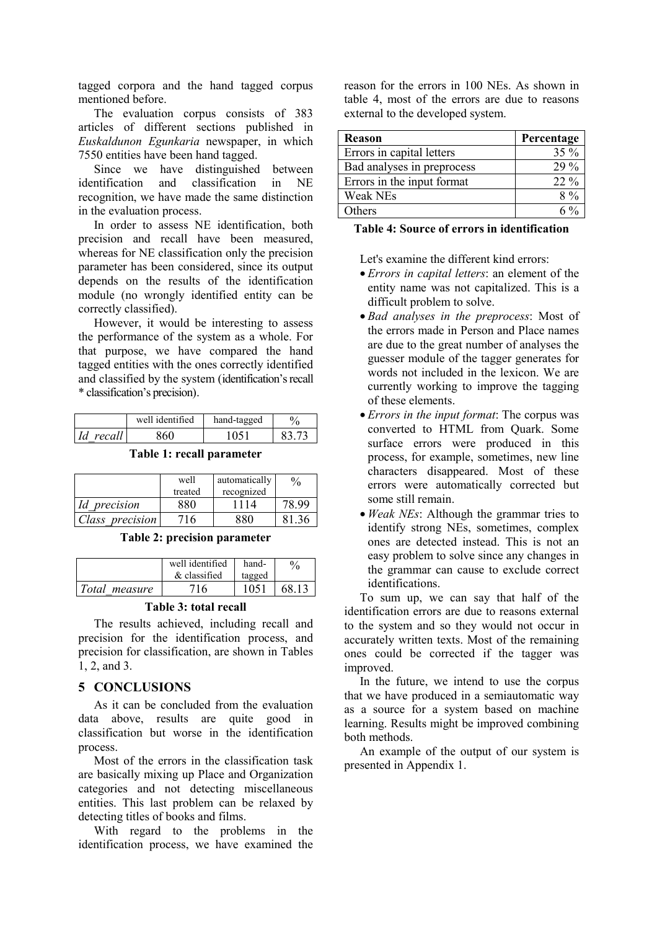tagged corpora and the hand tagged corpus mentioned before.

The evaluation corpus consists of 383 articles of different sections published in *Euskaldunon Egunkaria* newspaper, in which 7550 entities have been hand tagged.

Since we have distinguished between identification and classification in NE recognition, we have made the same distinction in the evaluation process.

In order to assess NE identification, both precision and recall have been measured, whereas for NE classification only the precision parameter has been considered, since its output depends on the results of the identification module (no wrongly identified entity can be correctly classified).

However, it would be interesting to assess the performance of the system as a whole. For that purpose, we have compared the hand tagged entities with the ones correctly identified and classified by the system (identification's recall \* classification's precision).

|              | well identified | hand-tagged | $\frac{0}{0}$ |
|--------------|-----------------|-------------|---------------|
| Id<br>recall |                 |             |               |

**Table 1: recall parameter** 

|                     | automatically<br>well |            |       |
|---------------------|-----------------------|------------|-------|
|                     | treated               | recognized |       |
| <i>Id</i> precision | 880                   |            | 78.99 |
| Class precision     | 16                    | 22N        |       |

**Table 2: precision parameter** 

|               | well identified<br>$\&$ classified | hand-<br>tagged | $\frac{0}{6}$ |
|---------------|------------------------------------|-----------------|---------------|
| Total measure | 16                                 | 1051            | -68.17        |

#### **Table 3: total recall**

The results achieved, including recall and precision for the identification process, and precision for classification, are shown in Tables 1, 2, and 3.

### **5 CONCLUSIONS**

As it can be concluded from the evaluation data above, results are quite good in classification but worse in the identification process.

Most of the errors in the classification task are basically mixing up Place and Organization categories and not detecting miscellaneous entities. This last problem can be relaxed by detecting titles of books and films.

With regard to the problems in the identification process, we have examined the reason for the errors in 100 NEs. As shown in table 4, most of the errors are due to reasons external to the developed system.

| <b>Reason</b>              | Percentage     |
|----------------------------|----------------|
| Errors in capital letters  | $35\%$         |
| Bad analyses in preprocess | $29\%$         |
| Errors in the input format | $22\%$         |
| Weak NEs                   | $8\%$          |
| Others                     | $6\frac{0}{6}$ |

# **Table 4: Source of errors in identification**

Let's examine the different kind errors:

- *Errors in capital letters*: an element of the entity name was not capitalized. This is a difficult problem to solve.
- *Bad analyses in the preprocess*: Most of the errors made in Person and Place names are due to the great number of analyses the guesser module of the tagger generates for words not included in the lexicon. We are currently working to improve the tagging of these elements.
- *Errors in the input format*: The corpus was converted to HTML from Quark. Some surface errors were produced in this process, for example, sometimes, new line characters disappeared. Most of these errors were automatically corrected but some still remain.
- *Weak NEs*: Although the grammar tries to identify strong NEs, sometimes, complex ones are detected instead. This is not an easy problem to solve since any changes in the grammar can cause to exclude correct identifications.

To sum up, we can say that half of the identification errors are due to reasons external to the system and so they would not occur in accurately written texts. Most of the remaining ones could be corrected if the tagger was improved.

In the future, we intend to use the corpus that we have produced in a semiautomatic way as a source for a system based on machine learning. Results might be improved combining both methods.

An example of the output of our system is presented in Appendix 1.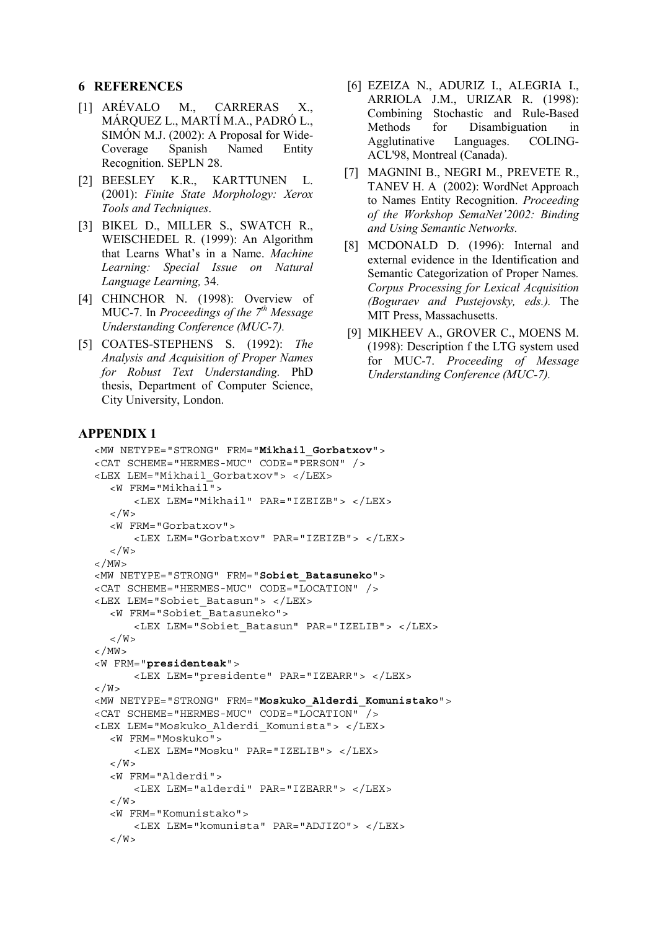#### **6 REFERENCES**

- [1] ARÉVALO M., CARRERAS X., MÁRQUEZ L., MARTÍ M.A., PADRÓ L., SIMÓN M.J. (2002): A Proposal for Wide-Coverage Spanish Named Entity Recognition. SEPLN 28.
- [2] BEESLEY K.R., KARTTUNEN L. (2001): *Finite State Morphology: Xerox Tools and Techniques*.
- [3] BIKEL D., MILLER S., SWATCH R., WEISCHEDEL R. (1999): An Algorithm that Learns What's in a Name. *Machine Learning: Special Issue on Natural Language Learning,* 34.
- [4] CHINCHOR N. (1998): Overview of MUC-7. In *Proceedings of the 7th Message Understanding Conference (MUC-7).*
- [5] COATES-STEPHENS S. (1992): *The Analysis and Acquisition of Proper Names for Robust Text Understanding.* PhD thesis, Department of Computer Science, City University, London.
- [6] EZEIZA N., ADURIZ I., ALEGRIA I., ARRIOLA J.M., URIZAR R. (1998): Combining Stochastic and Rule-Based Methods for Disambiguation in Agglutinative Languages. COLING-ACL'98, Montreal (Canada).
- [7] MAGNINI B., NEGRI M., PREVETE R., TANEV H. A (2002): WordNet Approach to Names Entity Recognition. *Proceeding of the Workshop SemaNet'2002: Binding and Using Semantic Networks.*
- [8] MCDONALD D. (1996): Internal and external evidence in the Identification and Semantic Categorization of Proper Names*. Corpus Processing for Lexical Acquisition (Boguraev and Pustejovsky, eds.).* The MIT Press, Massachusetts.
- [9] MIKHEEV A., GROVER C., MOENS M. (1998): Description f the LTG system used for MUC-7. *Proceeding of Message Understanding Conference (MUC-7).*

### **APPENDIX 1**

```
<MW NETYPE="STRONG" FRM="Mikhail_Gorbatxov"> 
<CAT SCHEME="HERMES-MUC" CODE="PERSON" /> 
<LEX LEM="Mikhail_Gorbatxov"> </LEX> 
   <W FRM="Mikhail"> 
        <LEX LEM="Mikhail" PAR="IZEIZB"> </LEX> 
  \langle/W\rangle <W FRM="Gorbatxov"> 
        <LEX LEM="Gorbatxov" PAR="IZEIZB"> </LEX> 
  \lt/W</MW><MW NETYPE="STRONG" FRM="Sobiet_Batasuneko"> 
<CAT SCHEME="HERMES-MUC" CODE="LOCATION" /> 
<LEX LEM="Sobiet_Batasun"> </LEX> 
   <W FRM="Sobiet_Batasuneko"> 
        <LEX LEM="Sobiet_Batasun" PAR="IZELIB"> </LEX> 
  \langle/W\rangle</MW><W FRM="presidenteak"> 
       <LEX LEM="presidente" PAR="IZEARR"> </LEX> 
\langle M \rangle<MW NETYPE="STRONG" FRM="Moskuko_Alderdi_Komunistako"> 
<CAT SCHEME="HERMES-MUC" CODE="LOCATION" /> 
<LEX LEM="Moskuko_Alderdi_Komunista"> </LEX> 
   <W FRM="Moskuko"> 
       <LEX LEM="Mosku" PAR="IZELIB"> </LEX> 
  \langle W > <W FRM="Alderdi"> 
       <LEX LEM="alderdi" PAR="IZEARR"> </LEX> 
  \langle W \rangle <W FRM="Komunistako"> 
       <LEX LEM="komunista" PAR="ADJIZO"> </LEX> 
  \langle /W \rangle
```